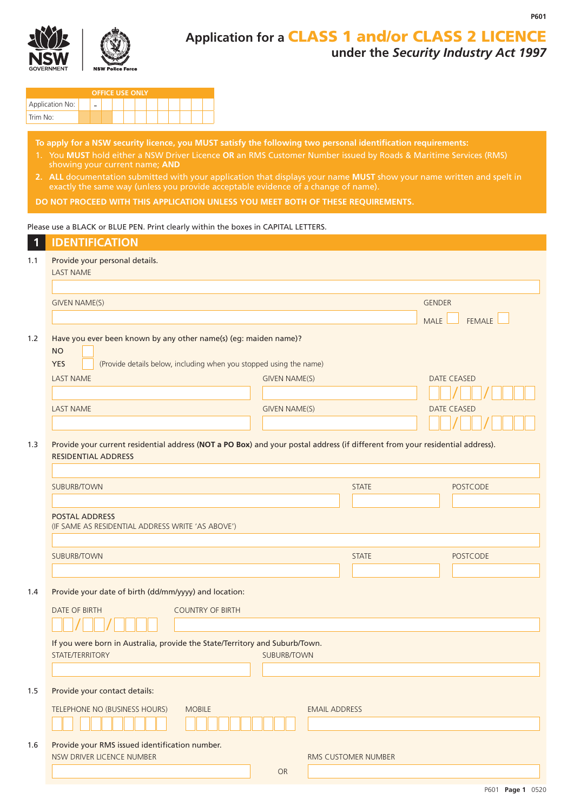



# **Application for a** CLASS 1 and/or CLASS 2 LICENCE **under the** *Security Industry Act 1997*

| <b>OFFICE USE ONLY</b> |  |  |  |  |  |  |  |  |  |  |  |
|------------------------|--|--|--|--|--|--|--|--|--|--|--|
| Application No:        |  |  |  |  |  |  |  |  |  |  |  |
| Trim No:               |  |  |  |  |  |  |  |  |  |  |  |

**To apply for a NSW security licence, you MUST satisfy the following two personal identification requirements:**

- 1. You **MUST** hold either a NSW Driver Licence **OR** an RMS Customer Number issued by Roads & Maritime Services (RMS) showing your current name; **AND**
- **2. ALL** documentation submitted with your application that displays your name **MUST** show your name written and spelt in exactly the same way (unless you provide acceptable evidence of a change of name).

**DO NOT PROCEED WITH THIS APPLICATION UNLESS YOU MEET BOTH OF THESE REQUIREMENTS.**

#### Please use a BLACK or BLUE PEN. Print clearly within the boxes in CAPITAL LETTERS.

| $\mathbf{1}$ | <b>IDENTIFICATION</b>                                                                                                                                             |                      |                      |                       |
|--------------|-------------------------------------------------------------------------------------------------------------------------------------------------------------------|----------------------|----------------------|-----------------------|
| 1.1          | Provide your personal details.<br><b>LAST NAME</b>                                                                                                                |                      |                      |                       |
|              |                                                                                                                                                                   |                      |                      |                       |
|              | <b>GIVEN NAME(S)</b>                                                                                                                                              |                      |                      | <b>GENDER</b>         |
|              |                                                                                                                                                                   |                      |                      | FEMALE<br><b>MALE</b> |
| 1.2          | Have you ever been known by any other name(s) (eg: maiden name)?<br><b>NO</b><br>(Provide details below, including when you stopped using the name)<br><b>YES</b> |                      |                      |                       |
|              | <b>LAST NAME</b>                                                                                                                                                  | <b>GIVEN NAME(S)</b> |                      | <b>DATE CEASED</b>    |
|              |                                                                                                                                                                   |                      |                      |                       |
|              | <b>LAST NAME</b>                                                                                                                                                  | <b>GIVEN NAME(S)</b> |                      | <b>DATE CEASED</b>    |
|              |                                                                                                                                                                   |                      |                      |                       |
| 1.3          | Provide your current residential address (NOT a PO Box) and your postal address (if different from your residential address).<br><b>RESIDENTIAL ADDRESS</b>       |                      |                      |                       |
|              | <b>SUBURB/TOWN</b>                                                                                                                                                |                      | <b>STATE</b>         | <b>POSTCODE</b>       |
|              |                                                                                                                                                                   |                      |                      |                       |
|              | <b>POSTAL ADDRESS</b><br>(IF SAME AS RESIDENTIAL ADDRESS WRITE 'AS ABOVE')                                                                                        |                      |                      |                       |
|              |                                                                                                                                                                   |                      |                      |                       |
|              | SUBURB/TOWN                                                                                                                                                       |                      | <b>STATE</b>         | <b>POSTCODE</b>       |
|              |                                                                                                                                                                   |                      |                      |                       |
| 1.4          | Provide your date of birth (dd/mm/yyyy) and location:                                                                                                             |                      |                      |                       |
|              | <b>DATE OF BIRTH</b><br><b>COUNTRY OF BIRTH</b>                                                                                                                   |                      |                      |                       |
|              |                                                                                                                                                                   |                      |                      |                       |
|              | If you were born in Australia, provide the State/Territory and Suburb/Town.                                                                                       |                      |                      |                       |
|              | STATE/TERRITORY                                                                                                                                                   | <b>SUBURB/TOWN</b>   |                      |                       |
|              |                                                                                                                                                                   |                      |                      |                       |
| 1.5          | Provide your contact details:                                                                                                                                     |                      |                      |                       |
|              | TELEPHONE NO (BUSINESS HOURS)<br><b>MOBILE</b>                                                                                                                    |                      | <b>EMAIL ADDRESS</b> |                       |
|              |                                                                                                                                                                   |                      |                      |                       |
| 1.6          | Provide your RMS issued identification number.                                                                                                                    |                      |                      |                       |
|              | NSW DRIVER LICENCE NUMBER                                                                                                                                         |                      | RMS CUSTOMER NUMBER  |                       |
|              |                                                                                                                                                                   | OR                   |                      |                       |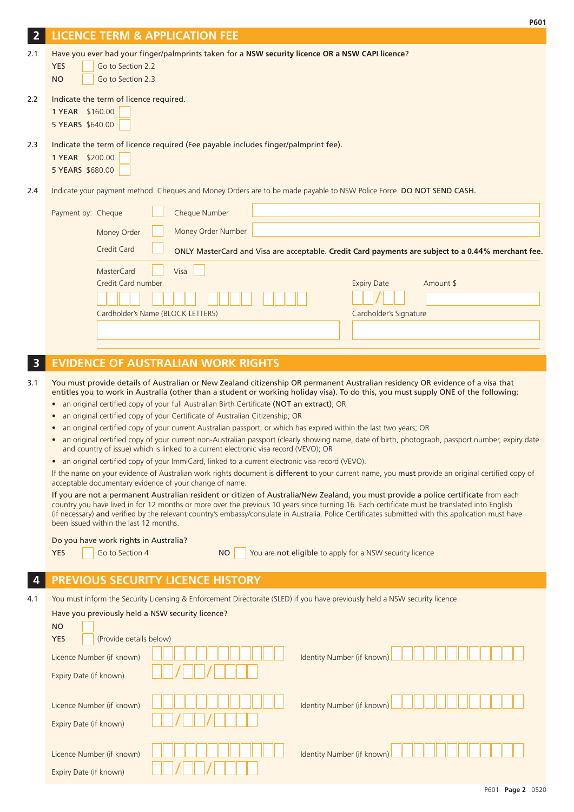|                         | P601                                                                                                                                                                                                                                                                                                                                           |
|-------------------------|------------------------------------------------------------------------------------------------------------------------------------------------------------------------------------------------------------------------------------------------------------------------------------------------------------------------------------------------|
| $\overline{2}$          | <b>LICENCE TERM &amp; APPLICATION FEE</b>                                                                                                                                                                                                                                                                                                      |
| 2.1                     | Have you ever had your finger/palmprints taken for a NSW security licence OR a NSW CAPI licence?<br>Go to Section 2.2<br><b>YES</b><br><b>NO</b><br>Go to Section 2.3                                                                                                                                                                          |
| 2.2                     | Indicate the term of licence required.<br>1 YEAR \$160.00<br>5 YEARS \$640.00                                                                                                                                                                                                                                                                  |
| 2.3                     | Indicate the term of licence required (Fee payable includes finger/palmprint fee).<br>1 YEAR \$200.00<br>5 YEARS \$680.00                                                                                                                                                                                                                      |
| 2.4                     | Indicate your payment method. Cheques and Money Orders are to be made payable to NSW Police Force. DO NOT SEND CASH.                                                                                                                                                                                                                           |
|                         | Payment by: Cheque<br>Cheque Number                                                                                                                                                                                                                                                                                                            |
|                         | Money Order Number<br>Money Order                                                                                                                                                                                                                                                                                                              |
|                         | Credit Card<br>ONLY MasterCard and Visa are acceptable. Credit Card payments are subject to a 0.44% merchant fee.                                                                                                                                                                                                                              |
|                         | Visa<br>MasterCard                                                                                                                                                                                                                                                                                                                             |
|                         | Credit Card number<br>Amount \$<br><b>Expiry Date</b>                                                                                                                                                                                                                                                                                          |
|                         |                                                                                                                                                                                                                                                                                                                                                |
|                         | Cardholder's Name (BLOCK LETTERS)<br>Cardholder's Signature                                                                                                                                                                                                                                                                                    |
|                         |                                                                                                                                                                                                                                                                                                                                                |
| $\overline{\mathbf{3}}$ | <b>EVIDENCE OF AUSTRALIAN WORK RIGHTS</b>                                                                                                                                                                                                                                                                                                      |
| 3.1                     | You must provide details of Australian or New Zealand citizenship OR permanent Australian residency OR evidence of a visa that                                                                                                                                                                                                                 |
|                         | entitles you to work in Australia (other than a student or working holiday visa). To do this, you must supply ONE of the following:<br>an original certified copy of your full Australian Birth Certificate (NOT an extract); OR                                                                                                               |
|                         | $\bullet$<br>an original certified copy of your Certificate of Australian Citizenship; OR<br>$\bullet$                                                                                                                                                                                                                                         |
|                         | an original certified copy of your current Australian passport, or which has expired within the last two years; OR<br>٠                                                                                                                                                                                                                        |
|                         | an original certified copy of your current non-Australian passport (clearly showing name, date of birth, photograph, passport number, expiry date<br>$\bullet$<br>and country of issue) which is linked to a current electronic visa record (VEVO); OR                                                                                         |
|                         | an original certified copy of your ImmiCard, linked to a current electronic visa record (VEVO).<br>$\bullet$<br>If the name on your evidence of Australian work rights document is different to your current name, you must provide an original certified copy of                                                                              |
|                         | acceptable documentary evidence of your change of name.<br>If you are not a permanent Australian resident or citizen of Australia/New Zealand, you must provide a police certificate from each                                                                                                                                                 |
|                         | country you have lived in for 12 months or more over the previous 10 years since turning 16. Each certificate must be translated into English<br>(if necessary) and verified by the relevant country's embassy/consulate in Australia. Police Certificates submitted with this application must have<br>been issued within the last 12 months. |
|                         | Do you have work rights in Australia?                                                                                                                                                                                                                                                                                                          |
|                         | <b>YES</b><br>You are not eligible to apply for a NSW security licence<br>Go to Section 4<br><b>NO</b>                                                                                                                                                                                                                                         |
|                         | PREVIOUS SECURITY LICENCE HISTORY                                                                                                                                                                                                                                                                                                              |
| 4.1                     | You must inform the Security Licensing & Enforcement Directorate (SLED) if you have previously held a NSW security licence.                                                                                                                                                                                                                    |
|                         | Have you previously held a NSW security licence?                                                                                                                                                                                                                                                                                               |
|                         | <b>NO</b><br>(Provide details below)<br><b>YES</b>                                                                                                                                                                                                                                                                                             |
|                         | Identity Number (if known)<br>Licence Number (if known)                                                                                                                                                                                                                                                                                        |
|                         | Expiry Date (if known)                                                                                                                                                                                                                                                                                                                         |
|                         |                                                                                                                                                                                                                                                                                                                                                |
|                         | Identity Number (if known)<br>Licence Number (if known)                                                                                                                                                                                                                                                                                        |
|                         | Expiry Date (if known)                                                                                                                                                                                                                                                                                                                         |
|                         | Identity Number (if known)<br>Licence Number (if known)                                                                                                                                                                                                                                                                                        |
|                         | Expiry Date (if known)                                                                                                                                                                                                                                                                                                                         |
|                         |                                                                                                                                                                                                                                                                                                                                                |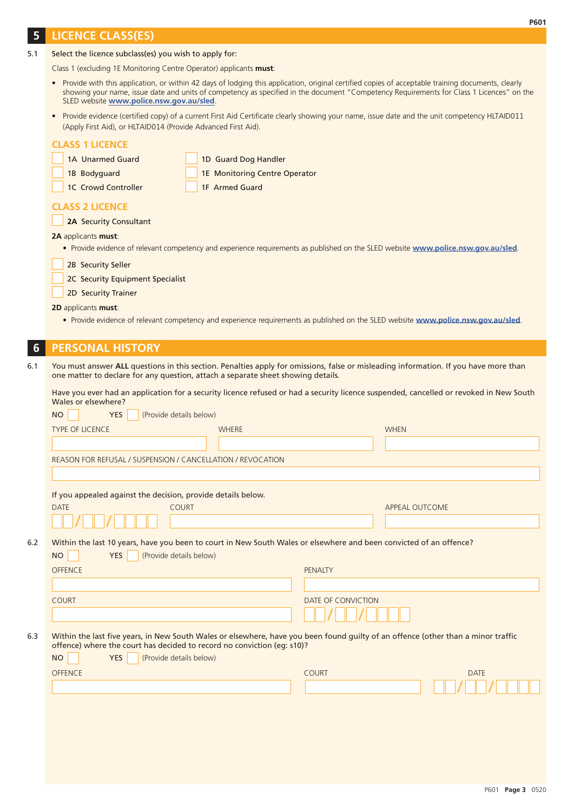### **5 LICENCE CLASS(ES)**

| 5.1 | Select the licence subclass(es) you wish to apply for: |  |
|-----|--------------------------------------------------------|--|
|     |                                                        |  |

Class 1 (excluding 1E Monitoring Centre Operator) applicants **must**:

- Provide with this application, or within 42 days of lodging this application, original certified copies of acceptable training documents, clearly showing your name, issue date and units of competency as specified in the document "Competency Requirements for Class 1 Licences" on the SLED website **www.police.nsw.gov.au/sled**.
- Provide evidence (certified copy) of a current First Aid Certificate clearly showing your name, issue date and the unit competency HLTAID011 (Apply First Aid), or HLTAID014 (Provide Advanced First Aid).

|  | <b>CLASS 1 LICENCE</b> |  |
|--|------------------------|--|
|  |                        |  |

- 1A Unarmed Guard 1D Guard Dog Handler
- 1B Bodyguard **1E Monitoring Centre Operator**
- 1C Crowd Controller 1F Armed Guard
- 

### **CLASS 2 LICENCE**

**2A** Security Consultant

#### **2A** applicants **must**:

• Provide evidence of relevant competency and experience requirements as published on the SLED website **www.police.nsw.gov.au/sled**.

2B Security Seller

2C Security Equipment Specialist

2D Security Trainer

#### **2D** applicants **must**:

• Provide evidence of relevant competency and experience requirements as published on the SLED website **www.police.nsw.gov.au/sled**.

# **6 PERSONAL HISTORY**

6.1 You must answer **ALL** questions in this section. Penalties apply for omissions, false or misleading information. If you have more than one matter to declare for any question, attach a separate sheet showing details.

Have you ever had an application for a security licence refused or had a security licence suspended, cancelled or revoked in New South Wales or elsewhere?

|     | (Provide details below)<br><b>YES</b><br><b>NO</b>                                                                                                                                                           |              |                    |                       |
|-----|--------------------------------------------------------------------------------------------------------------------------------------------------------------------------------------------------------------|--------------|--------------------|-----------------------|
|     | <b>TYPE OF LICENCE</b>                                                                                                                                                                                       | <b>WHERE</b> |                    | <b>WHEN</b>           |
|     |                                                                                                                                                                                                              |              |                    |                       |
|     | REASON FOR REFUSAL / SUSPENSION / CANCELLATION / REVOCATION                                                                                                                                                  |              |                    |                       |
|     |                                                                                                                                                                                                              |              |                    |                       |
|     | If you appealed against the decision, provide details below.                                                                                                                                                 |              |                    |                       |
|     | <b>COURT</b><br><b>DATE</b>                                                                                                                                                                                  |              |                    | <b>APPEAL OUTCOME</b> |
|     |                                                                                                                                                                                                              |              |                    |                       |
| 6.2 | Within the last 10 years, have you been to court in New South Wales or elsewhere and been convicted of an offence?                                                                                           |              |                    |                       |
|     | <b>YES</b><br>(Provide details below)<br><b>NO</b>                                                                                                                                                           |              |                    |                       |
|     | <b>OFFENCE</b>                                                                                                                                                                                               |              | <b>PENALTY</b>     |                       |
|     |                                                                                                                                                                                                              |              |                    |                       |
|     | <b>COURT</b>                                                                                                                                                                                                 |              | DATE OF CONVICTION |                       |
|     |                                                                                                                                                                                                              |              |                    |                       |
|     |                                                                                                                                                                                                              |              |                    |                       |
| 6.3 | Within the last five years, in New South Wales or elsewhere, have you been found guilty of an offence (other than a minor traffic<br>offence) where the court has decided to record no conviction (eg: s10)? |              |                    |                       |
|     | (Provide details below)<br><b>YES</b><br><b>NO</b>                                                                                                                                                           |              |                    |                       |
|     | <b>OFFENCE</b>                                                                                                                                                                                               |              | <b>COURT</b>       | <b>DATE</b>           |
|     |                                                                                                                                                                                                              |              |                    |                       |
|     |                                                                                                                                                                                                              |              |                    |                       |
|     |                                                                                                                                                                                                              |              |                    |                       |
|     |                                                                                                                                                                                                              |              |                    |                       |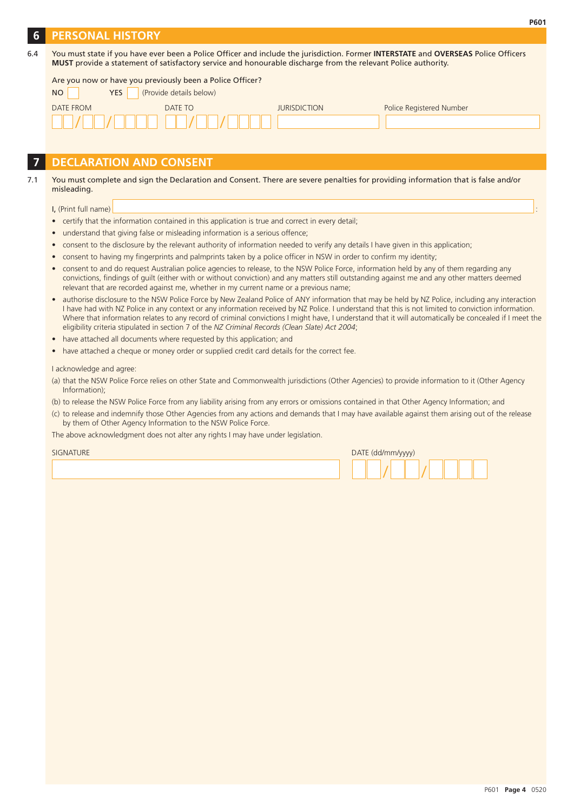## **6 PERSONAL HISTORY**

| 6.4 | You must state if you have ever been a Police Officer and include the jurisdiction. Former INTERSTATE and OVERSEAS Police Officers |
|-----|------------------------------------------------------------------------------------------------------------------------------------|
|     | MUST provide a statement of satisfactory service and honourable discharge from the relevant Police authority.                      |

| Are you now or have you previously been a Police Officer? |                         |                     |                          |  |  |  |  |  |  |
|-----------------------------------------------------------|-------------------------|---------------------|--------------------------|--|--|--|--|--|--|
| <b>YES</b><br>NO.                                         | (Provide details below) |                     |                          |  |  |  |  |  |  |
| DATE FROM                                                 | DATE TO                 | <b>JURISDICTION</b> | Police Registered Number |  |  |  |  |  |  |
|                                                           |                         |                     |                          |  |  |  |  |  |  |
|                                                           |                         |                     |                          |  |  |  |  |  |  |

# **7 DECLARATION AND CONSENT**

#### 7.1 You must complete and sign the Declaration and Consent. There are severe penalties for providing information that is false and/or misleading.

I, (Print full name)

- certify that the information contained in this application is true and correct in every detail;
- understand that giving false or misleading information is a serious offence;
- consent to the disclosure by the relevant authority of information needed to verify any details I have given in this application;
- consent to having my fingerprints and palmprints taken by a police officer in NSW in order to confirm my identity;
- consent to and do request Australian police agencies to release, to the NSW Police Force, information held by any of them regarding any convictions, findings of guilt (either with or without conviction) and any matters still outstanding against me and any other matters deemed relevant that are recorded against me, whether in my current name or a previous name;
- authorise disclosure to the NSW Police Force by New Zealand Police of ANY information that may be held by NZ Police, including any interaction I have had with NZ Police in any context or any information received by NZ Police. I understand that this is not limited to conviction information. Where that information relates to any record of criminal convictions I might have, I understand that it will automatically be concealed if I meet the eligibility criteria stipulated in section 7 of the *NZ Criminal Records (Clean Slate) Act 2004*;
- have attached all documents where requested by this application; and
- have attached a cheque or money order or supplied credit card details for the correct fee.

I acknowledge and agree:

(a) that the NSW Police Force relies on other State and Commonwealth jurisdictions (Other Agencies) to provide information to it (Other Agency Information);

(b) to release the NSW Police Force from any liability arising from any errors or omissions contained in that Other Agency Information; and

(c) to release and indemnify those Other Agencies from any actions and demands that I may have available against them arising out of the release by them of Other Agency Information to the NSW Police Force.

The above acknowledgment does not alter any rights I may have under legislation.

| <b>SIGNATURE</b> |  | DATE (dd/mm/yyyy) |  |  |  |  |
|------------------|--|-------------------|--|--|--|--|
|                  |  |                   |  |  |  |  |